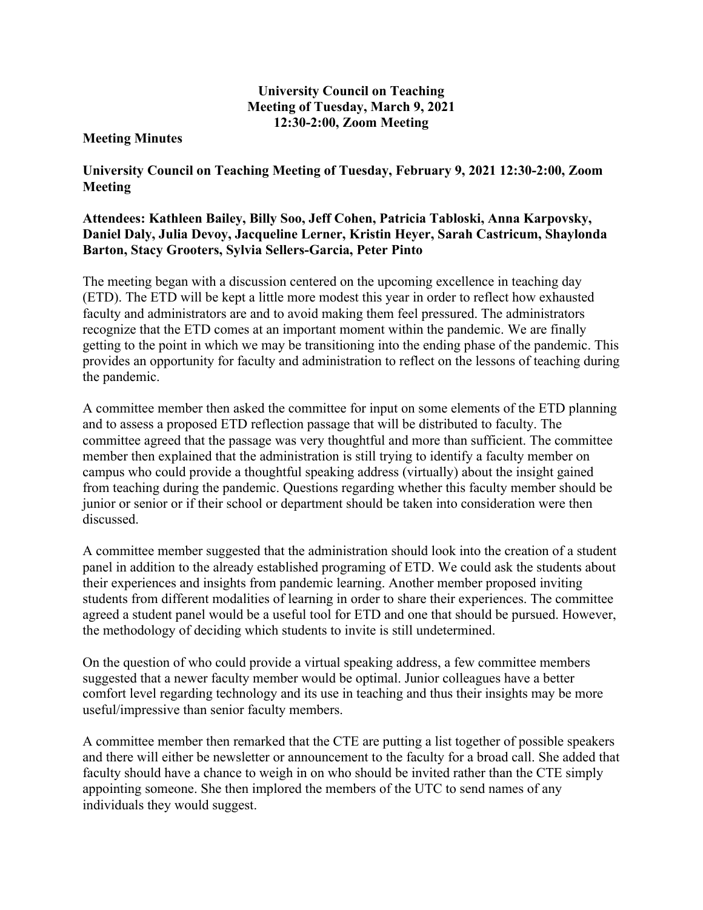## **University Council on Teaching Meeting of Tuesday, March 9, 2021 12:30-2:00, Zoom Meeting**

## **Meeting Minutes**

**University Council on Teaching Meeting of Tuesday, February 9, 2021 12:30-2:00, Zoom Meeting** 

## **Attendees: Kathleen Bailey, Billy Soo, Jeff Cohen, Patricia Tabloski, Anna Karpovsky, Daniel Daly, Julia Devoy, Jacqueline Lerner, Kristin Heyer, Sarah Castricum, Shaylonda Barton, Stacy Grooters, Sylvia Sellers-Garcia, Peter Pinto**

The meeting began with a discussion centered on the upcoming excellence in teaching day (ETD). The ETD will be kept a little more modest this year in order to reflect how exhausted faculty and administrators are and to avoid making them feel pressured. The administrators recognize that the ETD comes at an important moment within the pandemic. We are finally getting to the point in which we may be transitioning into the ending phase of the pandemic. This provides an opportunity for faculty and administration to reflect on the lessons of teaching during the pandemic.

A committee member then asked the committee for input on some elements of the ETD planning and to assess a proposed ETD reflection passage that will be distributed to faculty. The committee agreed that the passage was very thoughtful and more than sufficient. The committee member then explained that the administration is still trying to identify a faculty member on campus who could provide a thoughtful speaking address (virtually) about the insight gained from teaching during the pandemic. Questions regarding whether this faculty member should be junior or senior or if their school or department should be taken into consideration were then discussed.

A committee member suggested that the administration should look into the creation of a student panel in addition to the already established programing of ETD. We could ask the students about their experiences and insights from pandemic learning. Another member proposed inviting students from different modalities of learning in order to share their experiences. The committee agreed a student panel would be a useful tool for ETD and one that should be pursued. However, the methodology of deciding which students to invite is still undetermined.

On the question of who could provide a virtual speaking address, a few committee members suggested that a newer faculty member would be optimal. Junior colleagues have a better comfort level regarding technology and its use in teaching and thus their insights may be more useful/impressive than senior faculty members.

A committee member then remarked that the CTE are putting a list together of possible speakers and there will either be newsletter or announcement to the faculty for a broad call. She added that faculty should have a chance to weigh in on who should be invited rather than the CTE simply appointing someone. She then implored the members of the UTC to send names of any individuals they would suggest.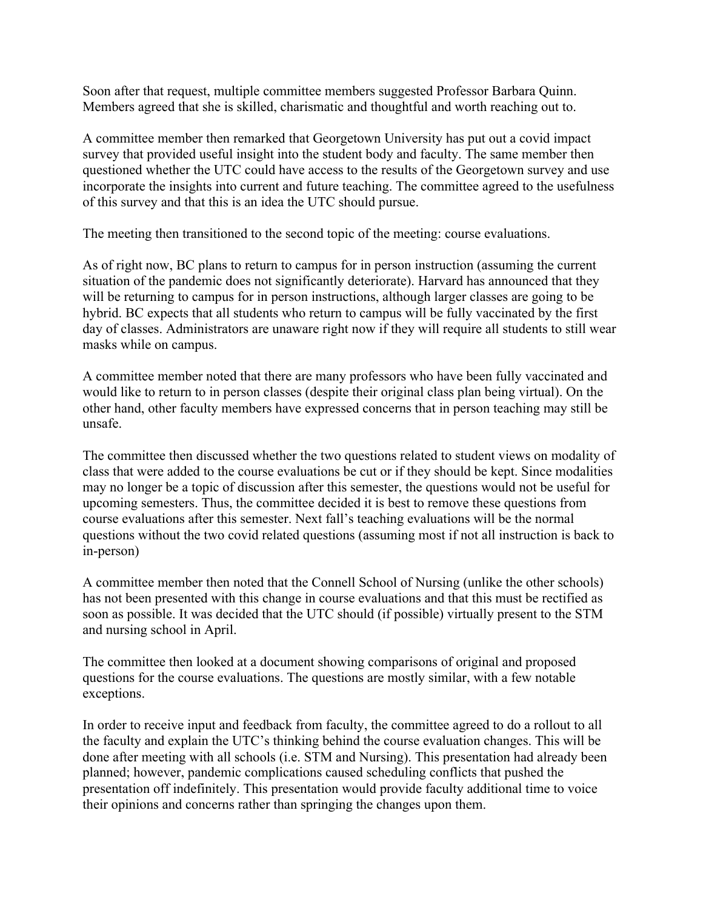Soon after that request, multiple committee members suggested Professor Barbara Quinn. Members agreed that she is skilled, charismatic and thoughtful and worth reaching out to.

A committee member then remarked that Georgetown University has put out a covid impact survey that provided useful insight into the student body and faculty. The same member then questioned whether the UTC could have access to the results of the Georgetown survey and use incorporate the insights into current and future teaching. The committee agreed to the usefulness of this survey and that this is an idea the UTC should pursue.

The meeting then transitioned to the second topic of the meeting: course evaluations.

As of right now, BC plans to return to campus for in person instruction (assuming the current situation of the pandemic does not significantly deteriorate). Harvard has announced that they will be returning to campus for in person instructions, although larger classes are going to be hybrid. BC expects that all students who return to campus will be fully vaccinated by the first day of classes. Administrators are unaware right now if they will require all students to still wear masks while on campus.

A committee member noted that there are many professors who have been fully vaccinated and would like to return to in person classes (despite their original class plan being virtual). On the other hand, other faculty members have expressed concerns that in person teaching may still be unsafe.

The committee then discussed whether the two questions related to student views on modality of class that were added to the course evaluations be cut or if they should be kept. Since modalities may no longer be a topic of discussion after this semester, the questions would not be useful for upcoming semesters. Thus, the committee decided it is best to remove these questions from course evaluations after this semester. Next fall's teaching evaluations will be the normal questions without the two covid related questions (assuming most if not all instruction is back to in-person)

A committee member then noted that the Connell School of Nursing (unlike the other schools) has not been presented with this change in course evaluations and that this must be rectified as soon as possible. It was decided that the UTC should (if possible) virtually present to the STM and nursing school in April.

The committee then looked at a document showing comparisons of original and proposed questions for the course evaluations. The questions are mostly similar, with a few notable exceptions.

In order to receive input and feedback from faculty, the committee agreed to do a rollout to all the faculty and explain the UTC's thinking behind the course evaluation changes. This will be done after meeting with all schools (i.e. STM and Nursing). This presentation had already been planned; however, pandemic complications caused scheduling conflicts that pushed the presentation off indefinitely. This presentation would provide faculty additional time to voice their opinions and concerns rather than springing the changes upon them.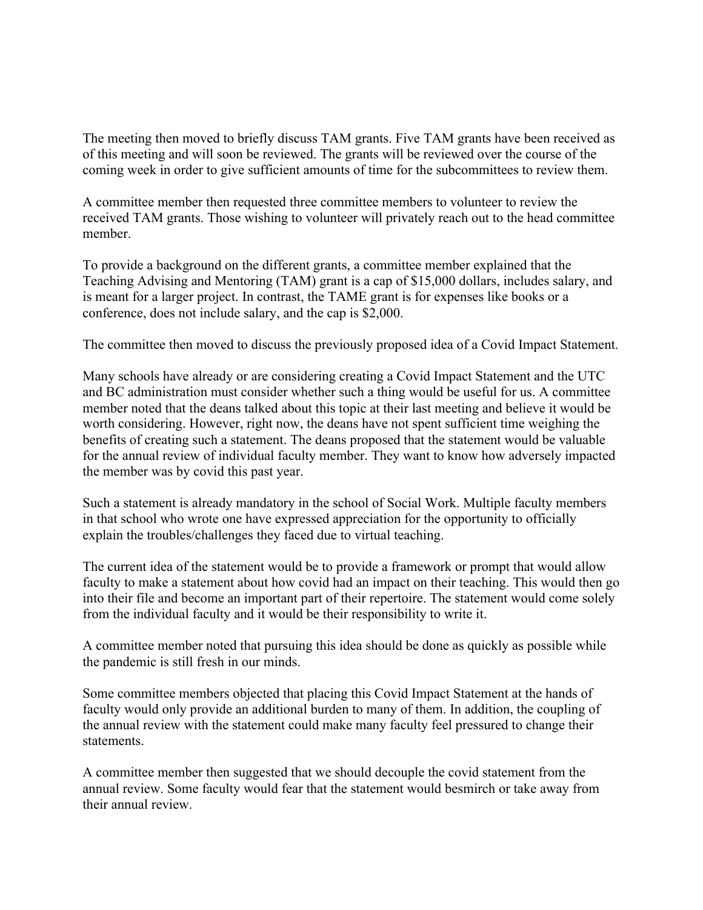The meeting then moved to briefly discuss TAM grants. Five TAM grants have been received as of this meeting and will soon be reviewed. The grants will be reviewed over the course of the coming week in order to give sufficient amounts of time for the subcommittees to review them.

A committee member then requested three committee members to volunteer to review the received TAM grants. Those wishing to volunteer will privately reach out to the head committee member.

To provide a background on the different grants, a committee member explained that the Teaching Advising and Mentoring (TAM) grant is a cap of \$15,000 dollars, includes salary, and is meant for a larger project. In contrast, the TAME grant is for expenses like books or a conference, does not include salary, and the cap is \$2,000.

The committee then moved to discuss the previously proposed idea of a Covid Impact Statement.

Many schools have already or are considering creating a Covid Impact Statement and the UTC and BC administration must consider whether such a thing would be useful for us. A committee member noted that the deans talked about this topic at their last meeting and believe it would be worth considering. However, right now, the deans have not spent sufficient time weighing the benefits of creating such a statement. The deans proposed that the statement would be valuable for the annual review of individual faculty member. They want to know how adversely impacted the member was by covid this past year.

Such a statement is already mandatory in the school of Social Work. Multiple faculty members in that school who wrote one have expressed appreciation for the opportunity to officially explain the troubles/challenges they faced due to virtual teaching.

The current idea of the statement would be to provide a framework or prompt that would allow faculty to make a statement about how covid had an impact on their teaching. This would then go into their file and become an important part of their repertoire. The statement would come solely from the individual faculty and it would be their responsibility to write it.

A committee member noted that pursuing this idea should be done as quickly as possible while the pandemic is still fresh in our minds.

Some committee members objected that placing this Covid Impact Statement at the hands of faculty would only provide an additional burden to many of them. In addition, the coupling of the annual review with the statement could make many faculty feel pressured to change their statements.

A committee member then suggested that we should decouple the covid statement from the annual review. Some faculty would fear that the statement would besmirch or take away from their annual review.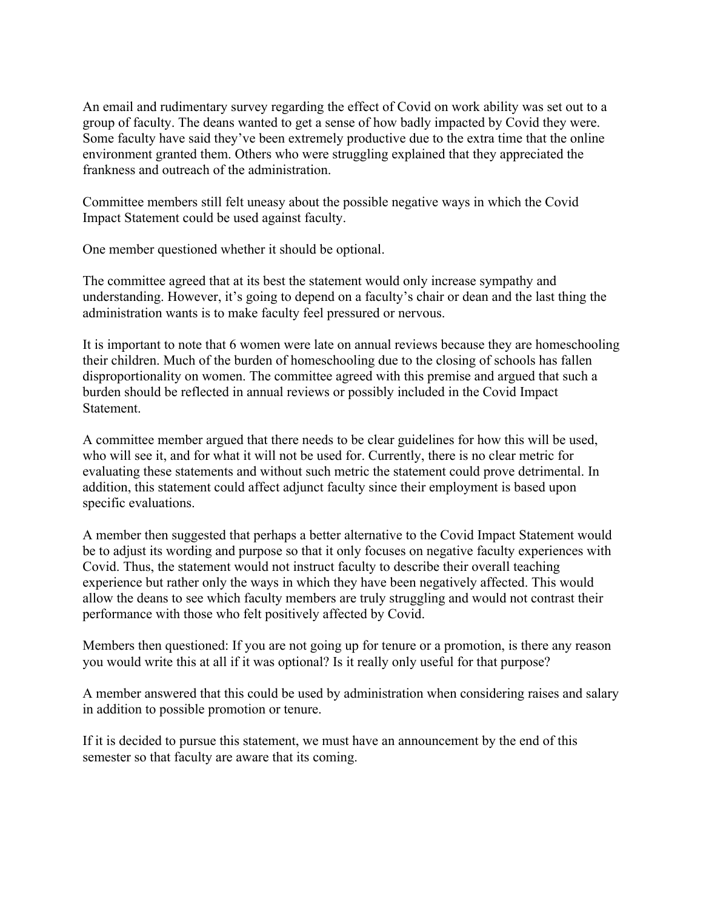An email and rudimentary survey regarding the effect of Covid on work ability was set out to a group of faculty. The deans wanted to get a sense of how badly impacted by Covid they were. Some faculty have said they've been extremely productive due to the extra time that the online environment granted them. Others who were struggling explained that they appreciated the frankness and outreach of the administration.

Committee members still felt uneasy about the possible negative ways in which the Covid Impact Statement could be used against faculty.

One member questioned whether it should be optional.

The committee agreed that at its best the statement would only increase sympathy and understanding. However, it's going to depend on a faculty's chair or dean and the last thing the administration wants is to make faculty feel pressured or nervous.

It is important to note that 6 women were late on annual reviews because they are homeschooling their children. Much of the burden of homeschooling due to the closing of schools has fallen disproportionality on women. The committee agreed with this premise and argued that such a burden should be reflected in annual reviews or possibly included in the Covid Impact Statement.

A committee member argued that there needs to be clear guidelines for how this will be used, who will see it, and for what it will not be used for. Currently, there is no clear metric for evaluating these statements and without such metric the statement could prove detrimental. In addition, this statement could affect adjunct faculty since their employment is based upon specific evaluations.

A member then suggested that perhaps a better alternative to the Covid Impact Statement would be to adjust its wording and purpose so that it only focuses on negative faculty experiences with Covid. Thus, the statement would not instruct faculty to describe their overall teaching experience but rather only the ways in which they have been negatively affected. This would allow the deans to see which faculty members are truly struggling and would not contrast their performance with those who felt positively affected by Covid.

Members then questioned: If you are not going up for tenure or a promotion, is there any reason you would write this at all if it was optional? Is it really only useful for that purpose?

A member answered that this could be used by administration when considering raises and salary in addition to possible promotion or tenure.

If it is decided to pursue this statement, we must have an announcement by the end of this semester so that faculty are aware that its coming.